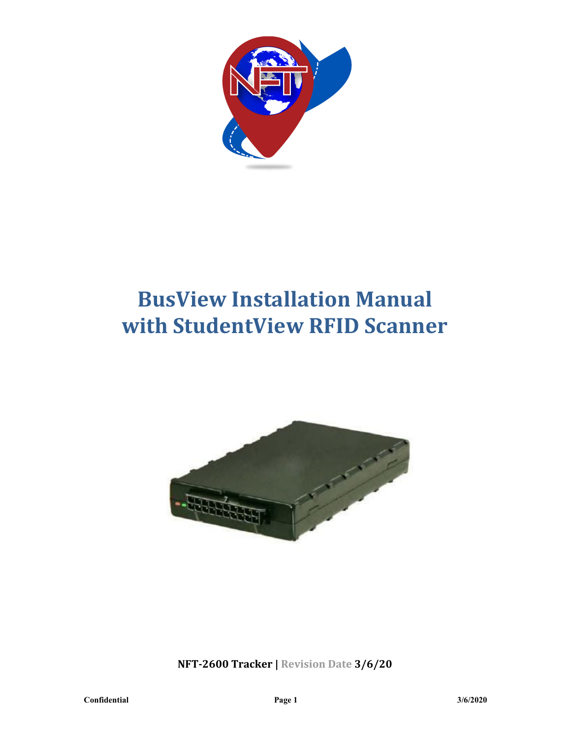

# **BusView Installation Manual with StudentView RFID Scanner**



**NFT-2600 Tracker | Revision Date 3/6/20**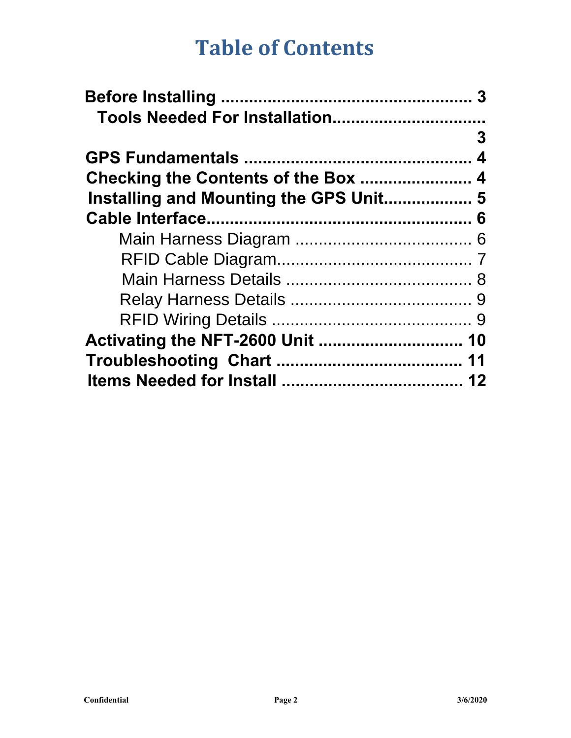## **Table of Contents**

| Tools Needed For Installation          |   |
|----------------------------------------|---|
|                                        | 3 |
|                                        |   |
|                                        |   |
| Installing and Mounting the GPS Unit 5 |   |
|                                        |   |
|                                        |   |
|                                        |   |
|                                        |   |
|                                        |   |
|                                        |   |
|                                        |   |
|                                        |   |
|                                        |   |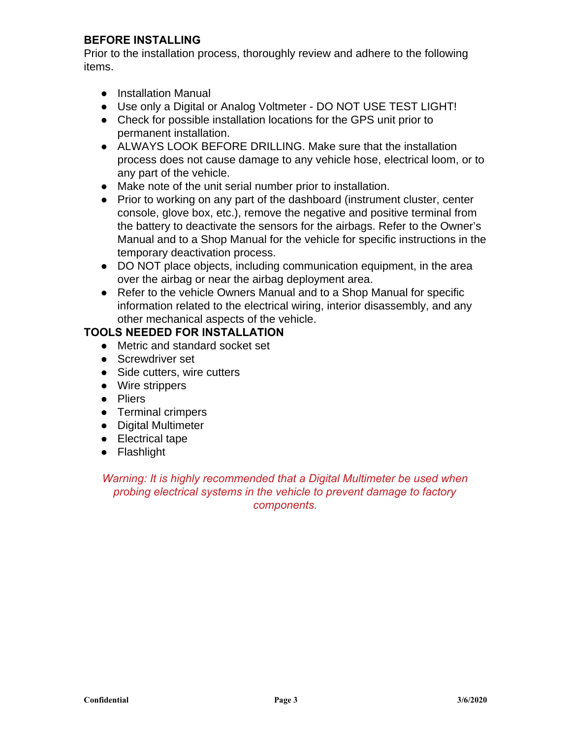#### **BEFORE INSTALLING**

Prior to the installation process, thoroughly review and adhere to the following items.

- Installation Manual
- Use only a Digital or Analog Voltmeter DO NOT USE TEST LIGHT!
- Check for possible installation locations for the GPS unit prior to permanent installation.
- ALWAYS LOOK BEFORE DRILLING. Make sure that the installation process does not cause damage to any vehicle hose, electrical loom, or to any part of the vehicle.
- Make note of the unit serial number prior to installation.
- Prior to working on any part of the dashboard (instrument cluster, center console, glove box, etc.), remove the negative and positive terminal from the battery to deactivate the sensors for the airbags. Refer to the Owner's Manual and to a Shop Manual for the vehicle for specific instructions in the temporary deactivation process.
- DO NOT place objects, including communication equipment, in the area over the airbag or near the airbag deployment area.
- Refer to the vehicle Owners Manual and to a Shop Manual for specific information related to the electrical wiring, interior disassembly, and any other mechanical aspects of the vehicle.

#### **TOOLS NEEDED FOR INSTALLATION**

- Metric and standard socket set
- Screwdriver set
- Side cutters, wire cutters
- Wire strippers
- Pliers
- Terminal crimpers
- Digital Multimeter
- Electrical tape
- Flashlight

*Warning: It is highly recommended that a Digital Multimeter be used when probing electrical systems in the vehicle to prevent damage to factory components.*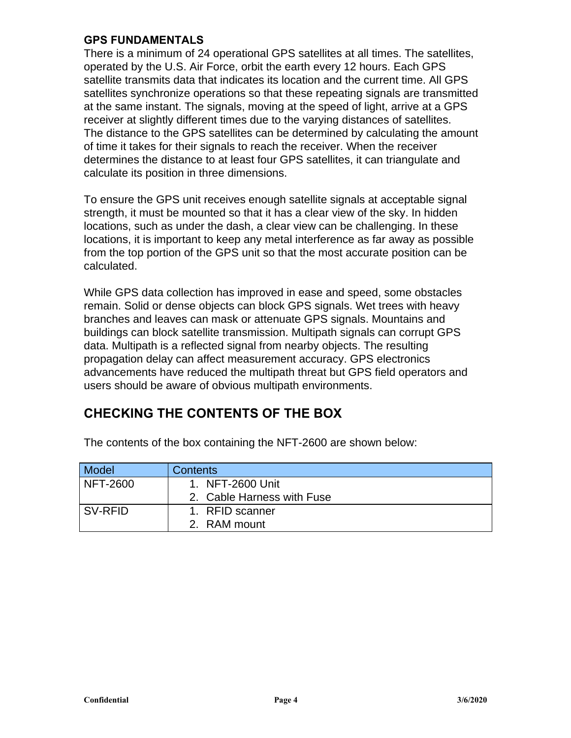#### **GPS FUNDAMENTALS**

There is a minimum of 24 operational GPS satellites at all times. The satellites, operated by the U.S. Air Force, orbit the earth every 12 hours. Each GPS satellite transmits data that indicates its location and the current time. All GPS satellites synchronize operations so that these repeating signals are transmitted at the same instant. The signals, moving at the speed of light, arrive at a GPS receiver at slightly different times due to the varying distances of satellites. The distance to the GPS satellites can be determined by calculating the amount of time it takes for their signals to reach the receiver. When the receiver determines the distance to at least four GPS satellites, it can triangulate and calculate its position in three dimensions.

To ensure the GPS unit receives enough satellite signals at acceptable signal strength, it must be mounted so that it has a clear view of the sky. In hidden locations, such as under the dash, a clear view can be challenging. In these locations, it is important to keep any metal interference as far away as possible from the top portion of the GPS unit so that the most accurate position can be calculated.

While GPS data collection has improved in ease and speed, some obstacles remain. Solid or dense objects can block GPS signals. Wet trees with heavy branches and leaves can mask or attenuate GPS signals. Mountains and buildings can block satellite transmission. Multipath signals can corrupt GPS data. Multipath is a reflected signal from nearby objects. The resulting propagation delay can affect measurement accuracy. GPS electronics advancements have reduced the multipath threat but GPS field operators and users should be aware of obvious multipath environments.

## **CHECKING THE CONTENTS OF THE BOX**

| Model     | <b>Contents</b>            |
|-----------|----------------------------|
| NFT-2600  | 1. NFT-2600 Unit           |
|           | 2. Cable Harness with Fuse |
| l SV-RFID | 1. RFID scanner            |
|           | 2. RAM mount               |

The contents of the box containing the NFT-2600 are shown below: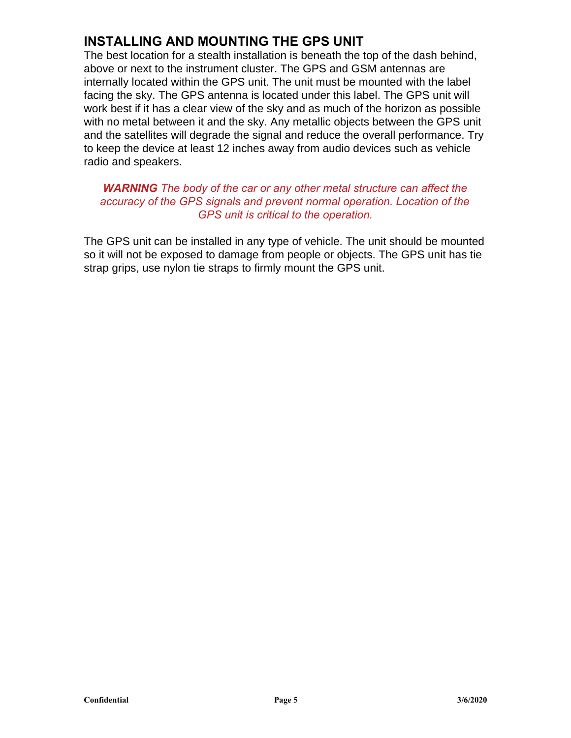## **INSTALLING AND MOUNTING THE GPS UNIT**

The best location for a stealth installation is beneath the top of the dash behind, above or next to the instrument cluster. The GPS and GSM antennas are internally located within the GPS unit. The unit must be mounted with the label facing the sky. The GPS antenna is located under this label. The GPS unit will work best if it has a clear view of the sky and as much of the horizon as possible with no metal between it and the sky. Any metallic objects between the GPS unit and the satellites will degrade the signal and reduce the overall performance. Try to keep the device at least 12 inches away from audio devices such as vehicle radio and speakers.

#### *WARNING The body of the car or any other metal structure can affect the accuracy of the GPS signals and prevent normal operation. Location of the GPS unit is critical to the operation.*

The GPS unit can be installed in any type of vehicle. The unit should be mounted so it will not be exposed to damage from people or objects. The GPS unit has tie strap grips, use nylon tie straps to firmly mount the GPS unit.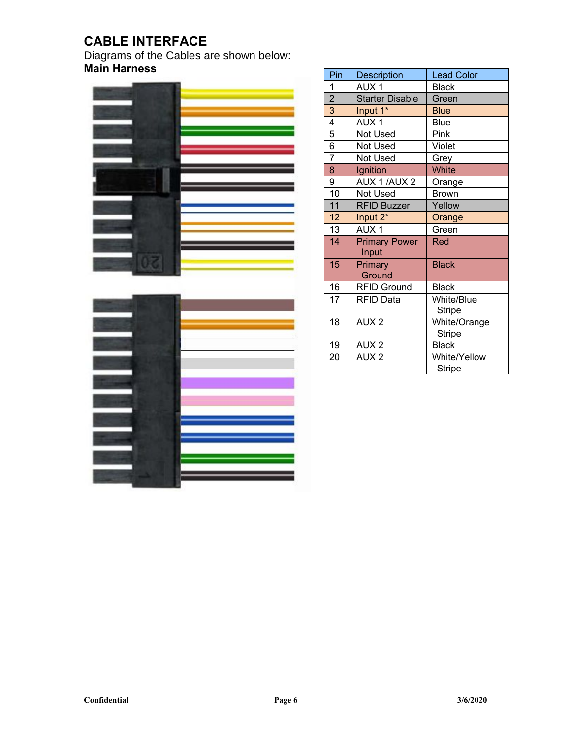## **CABLE INTERFACE**

Diagrams of the Cables are shown below: **Main Harness** 



| __ |  |
|----|--|
|    |  |

| Pin                     | <b>Description</b>            | <b>Lead Color</b> |  |
|-------------------------|-------------------------------|-------------------|--|
| 1                       | AUX <sub>1</sub>              | <b>Black</b>      |  |
| $\overline{\mathbf{c}}$ | <b>Starter Disable</b>        | Green             |  |
| 3                       | Input 1*                      | Blue              |  |
| $\overline{4}$          | AUX <sub>1</sub>              | <b>Blue</b>       |  |
| 5                       | Not Used                      | Pink              |  |
| 6                       | <b>Not Used</b>               | Violet            |  |
| $\overline{7}$          | <b>Not Used</b>               | Grey              |  |
| 8                       | Ignition                      | White             |  |
| 9                       | AUX 1/AUX 2                   | Orange            |  |
| 10                      | <b>Not Used</b>               | <b>Brown</b>      |  |
| 11                      | <b>RFID Buzzer</b>            | Yellow            |  |
| 12                      | Input 2*                      | Orange            |  |
| 13                      | AUX <sub>1</sub>              | Green             |  |
| 14                      | <b>Primary Power</b><br>Input | Red               |  |
| 15                      | Primary<br>Ground             | <b>Black</b>      |  |
| 16                      | <b>RFID Ground</b>            | <b>Black</b>      |  |
| 17                      | <b>RFID Data</b>              | <b>White/Blue</b> |  |
|                         |                               | <b>Stripe</b>     |  |
| 18                      | AUX <sub>2</sub>              | White/Orange      |  |
|                         |                               | Stripe            |  |
| 19                      | AUX <sub>2</sub>              | <b>Black</b>      |  |
| 20                      | AUX <sub>2</sub>              | White/Yellow      |  |
|                         |                               | <b>Stripe</b>     |  |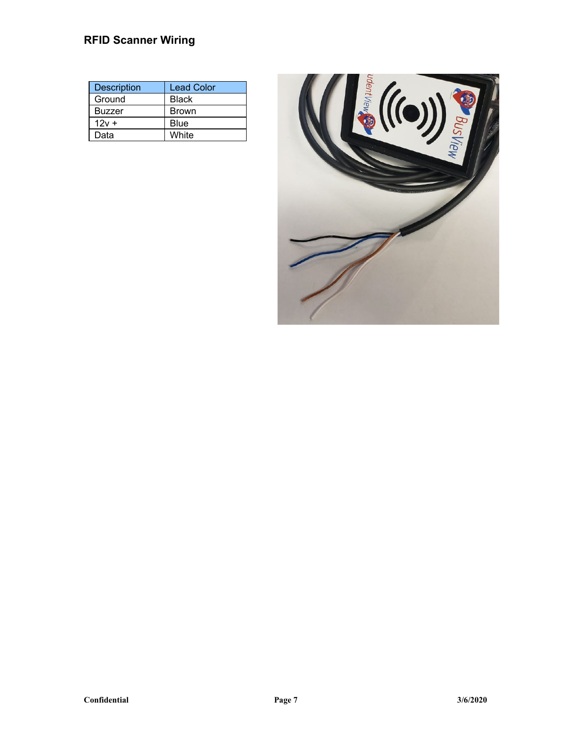### **RFID Scanner Wiring**

| <b>Description</b> | <b>Lead Color</b> |
|--------------------|-------------------|
| Ground             | <b>Black</b>      |
| <b>Buzzer</b>      | <b>Brown</b>      |
| $12v +$            | <b>Blue</b>       |
| Data               | <b>White</b>      |

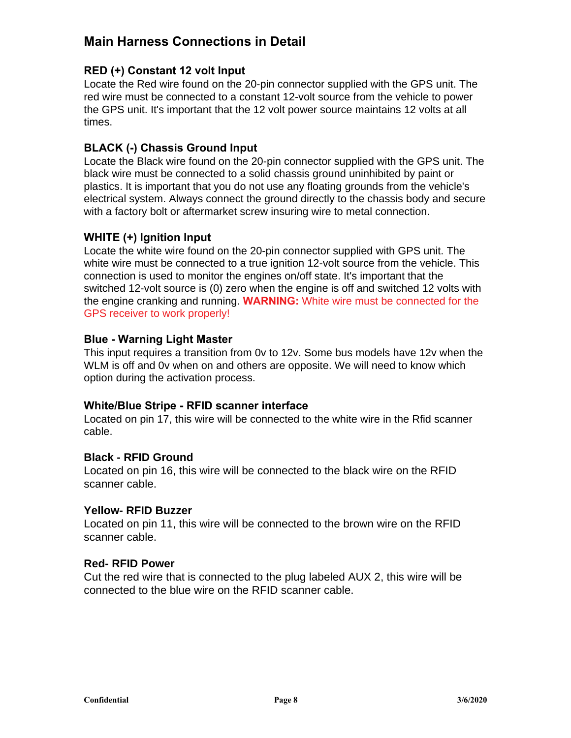### **Main Harness Connections in Detail**

#### **RED (+) Constant 12 volt Input**

Locate the Red wire found on the 20-pin connector supplied with the GPS unit. The red wire must be connected to a constant 12-volt source from the vehicle to power the GPS unit. It's important that the 12 volt power source maintains 12 volts at all times.

#### **BLACK (-) Chassis Ground Input**

Locate the Black wire found on the 20-pin connector supplied with the GPS unit. The black wire must be connected to a solid chassis ground uninhibited by paint or plastics. It is important that you do not use any floating grounds from the vehicle's electrical system. Always connect the ground directly to the chassis body and secure with a factory bolt or aftermarket screw insuring wire to metal connection.

#### **WHITE (+) Ignition Input**

Locate the white wire found on the 20-pin connector supplied with GPS unit. The white wire must be connected to a true ignition 12-volt source from the vehicle. This connection is used to monitor the engines on/off state. It's important that the switched 12-volt source is (0) zero when the engine is off and switched 12 volts with the engine cranking and running. **WARNING:** White wire must be connected for the GPS receiver to work properly!

#### **Blue - Warning Light Master**

This input requires a transition from 0v to 12v. Some bus models have 12v when the WLM is off and 0v when on and others are opposite. We will need to know which option during the activation process.

#### **White/Blue Stripe - RFID scanner interface**

Located on pin 17, this wire will be connected to the white wire in the Rfid scanner cable.

#### **Black - RFID Ground**

Located on pin 16, this wire will be connected to the black wire on the RFID scanner cable.

#### **Yellow- RFID Buzzer**

Located on pin 11, this wire will be connected to the brown wire on the RFID scanner cable.

#### **Red- RFID Power**

Cut the red wire that is connected to the plug labeled AUX 2, this wire will be connected to the blue wire on the RFID scanner cable.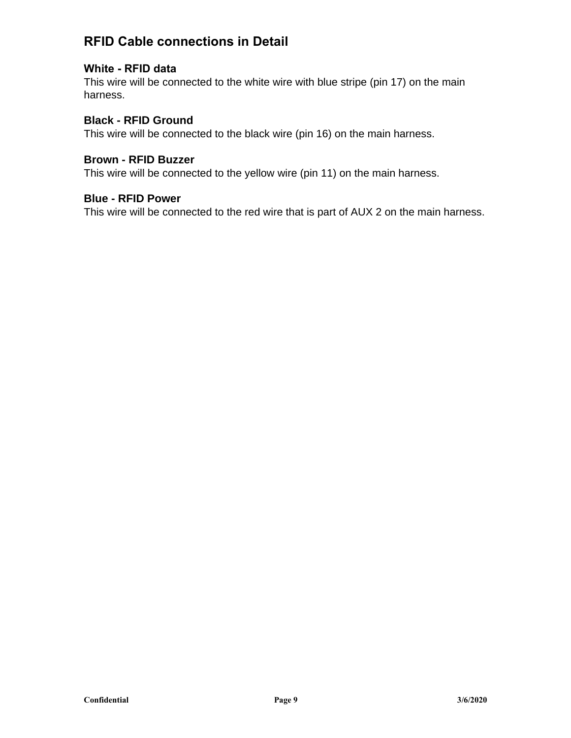## **RFID Cable connections in Detail**

#### **White - RFID data**

This wire will be connected to the white wire with blue stripe (pin 17) on the main harness.

#### **Black - RFID Ground**

This wire will be connected to the black wire (pin 16) on the main harness.

#### **Brown - RFID Buzzer**

This wire will be connected to the yellow wire (pin 11) on the main harness.

#### **Blue - RFID Power**

This wire will be connected to the red wire that is part of AUX 2 on the main harness.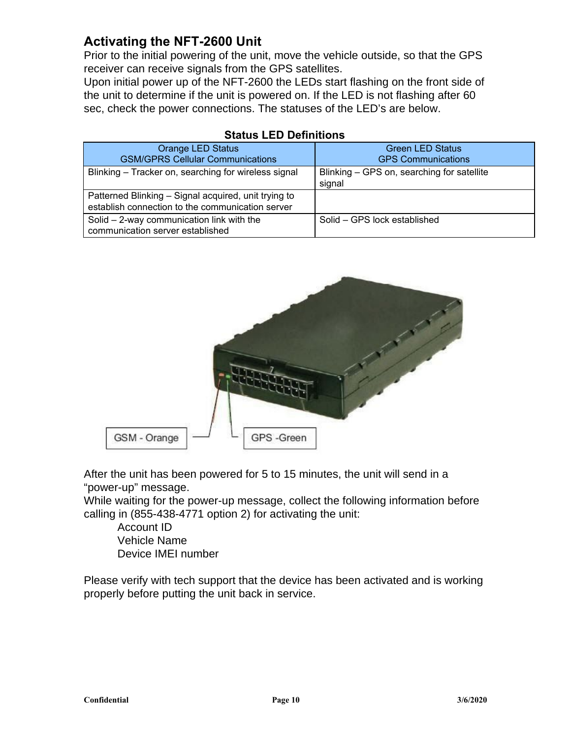## **Activating the NFT-2600 Unit**

Prior to the initial powering of the unit, move the vehicle outside, so that the GPS receiver can receive signals from the GPS satellites.

Upon initial power up of the NFT-2600 the LEDs start flashing on the front side of the unit to determine if the unit is powered on. If the LED is not flashing after 60 sec, check the power connections. The statuses of the LED's are below.

| <b>Orange LED Status</b><br><b>GSM/GPRS Cellular Communications</b>                                      | <b>Green LED Status</b><br><b>GPS Communications</b> |
|----------------------------------------------------------------------------------------------------------|------------------------------------------------------|
|                                                                                                          |                                                      |
| Blinking – Tracker on, searching for wireless signal                                                     | Blinking – GPS on, searching for satellite<br>signal |
| Patterned Blinking - Signal acquired, unit trying to<br>establish connection to the communication server |                                                      |
| Solid $-$ 2-way communication link with the<br>communication server established                          | Solid – GPS lock established                         |

#### **Status LED Definitions**



After the unit has been powered for 5 to 15 minutes, the unit will send in a "power-up" message.

While waiting for the power-up message, collect the following information before calling in (855-438-4771 option 2) for activating the unit:

Account ID Vehicle Name Device IMEI number

Please verify with tech support that the device has been activated and is working properly before putting the unit back in service.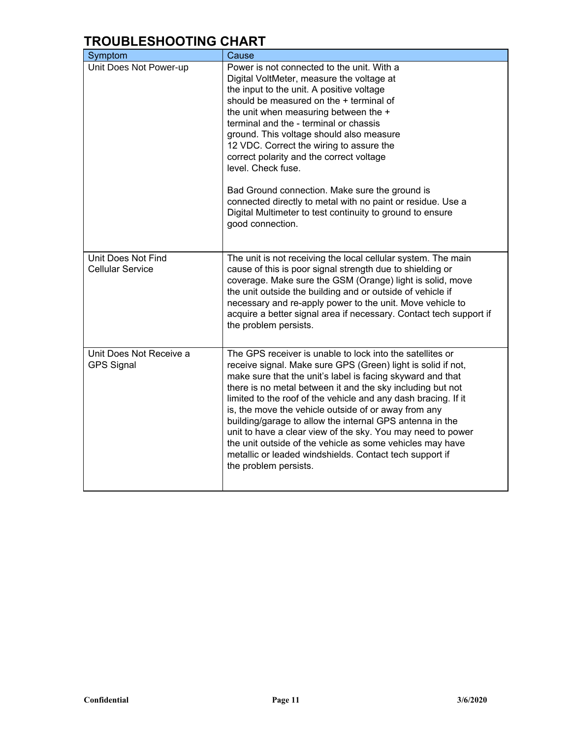## **TROUBLESHOOTING CHART**

| Symptom                                       | Cause                                                                                                                                                                                                                                                                                                                                                                                                                                                                                                                                                                                                                                                       |
|-----------------------------------------------|-------------------------------------------------------------------------------------------------------------------------------------------------------------------------------------------------------------------------------------------------------------------------------------------------------------------------------------------------------------------------------------------------------------------------------------------------------------------------------------------------------------------------------------------------------------------------------------------------------------------------------------------------------------|
| Unit Does Not Power-up                        | Power is not connected to the unit. With a<br>Digital VoltMeter, measure the voltage at<br>the input to the unit. A positive voltage<br>should be measured on the + terminal of<br>the unit when measuring between the +<br>terminal and the - terminal or chassis<br>ground. This voltage should also measure<br>12 VDC. Correct the wiring to assure the<br>correct polarity and the correct voltage<br>level. Check fuse.<br>Bad Ground connection. Make sure the ground is<br>connected directly to metal with no paint or residue. Use a<br>Digital Multimeter to test continuity to ground to ensure<br>good connection.                              |
| Unit Does Not Find<br><b>Cellular Service</b> | The unit is not receiving the local cellular system. The main<br>cause of this is poor signal strength due to shielding or<br>coverage. Make sure the GSM (Orange) light is solid, move<br>the unit outside the building and or outside of vehicle if<br>necessary and re-apply power to the unit. Move vehicle to<br>acquire a better signal area if necessary. Contact tech support if<br>the problem persists.                                                                                                                                                                                                                                           |
| Unit Does Not Receive a<br><b>GPS Signal</b>  | The GPS receiver is unable to lock into the satellites or<br>receive signal. Make sure GPS (Green) light is solid if not,<br>make sure that the unit's label is facing skyward and that<br>there is no metal between it and the sky including but not<br>limited to the roof of the vehicle and any dash bracing. If it<br>is, the move the vehicle outside of or away from any<br>building/garage to allow the internal GPS antenna in the<br>unit to have a clear view of the sky. You may need to power<br>the unit outside of the vehicle as some vehicles may have<br>metallic or leaded windshields. Contact tech support if<br>the problem persists. |